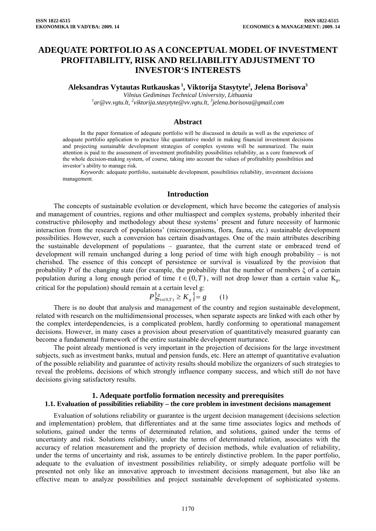# **ADEQUATE PORTFOLIO AS A CONCEPTUAL MODEL OF INVESTMENT PROFITABILITY, RISK AND RELIABILITY ADJUSTMENT TO INVESTOR'S INTERESTS**

**Aleksandras Vytautas Rutkauskas <sup>1</sup> , Viktorija Stasytyte2 , Jelena Borisova3**

*Vilnius Gediminas Technical University, Lithuania 1*

*ar@vv.vgtu.lt, <sup>2</sup> viktorija.stasytyte@vv.vgtu.lt, <sup>3</sup> jelena.borisova@gmail.com* 

#### **Abstract**

In the paper formation of adequate portfolio will be discussed in details as well as the experience of adequate portfolio application to practice like quantitative model in making financial investment decisions and projecting sustainable development strategies of complex systems will be summarized. The main attention is paid to the assessment of investment profitability possibilities reliability, as a core framework of the whole decision-making system, of course, taking into account the values of profitability possibilities and investor's ability to manage risk.

*Keywords*: adequate portfolio, sustainable development, possibilities reliability, investment decisions management.

#### **Introduction**

The concepts of sustainable evolution or development, which have become the categories of analysis and management of countries, regions and other multiaspect and complex systems, probably inherited their constructive philosophy and methodology about these systems' present and future necessity of harmonic interaction from the research of populations' (microorganisms, flora, fauna, etc.) sustainable development possibilities. However, such a conversion has certain disadvantages. One of the main attributes describing the sustainable development of populations – guarantee, that the current state or embraced trend of development will remain unchanged during a long period of time with high enough probability – is not cherished. The essence of this concept of persistence or survival is visualized by the provision that probability P of the changing state (for example, the probability that the number of members ξ of a certain population during a long enough period of time  $t \in (0,T)$ , will not drop lower than a certain value K<sub>g</sub>, critical for the population) should remain at a certain level g:

$$
P\left\{\xi_{t\in(0,T)} \ge K_g\right\} = g \qquad(1)
$$

There is no doubt that analysis and management of the country and region sustainable development, related with research on the multidimensional processes, when separate aspects are linked with each other by the complex interdependencies, is a complicated problem, hardly conforming to operational management decisions. However, in many cases a provision about preservation of quantitatively measured guaranty can become a fundamental framework of the entire sustainable development nurturance.

The point already mentioned is very important in the projection of decisions for the large investment subjects, such as investment banks, mutual and pension funds, etc. Here an attempt of quantitative evaluation of the possible reliability and guarantee of activity results should mobilize the organizers of such strategies to reveal the problems, decisions of which strongly influence company success, and which still do not have decisions giving satisfactory results.

## **1. Adequate portfolio formation necessity and prerequisites 1.1. Evaluation of possibilities reliability – the core problem in investment decisions management**

Evaluation of solutions reliability or guarantee is the urgent decision management (decisions selection and implementation) problem, that differentiates and at the same time associates logics and methods of solutions, gained under the terms of determinated relation, and solutions, gained under the terms of uncertainty and risk. Solutions reliability, under the terms of determinated relation, associates with the accuracy of relation measurement and the propriety of decision methods, while evaluation of reliability, under the terms of uncertainty and risk, assumes to be entirely distinctive problem. In the paper portfolio, adequate to the evaluation of investment possibilities reliability, or simply adequate portfolio will be presented not only like an innovative approach to investment decisions management, but also like an effective mean to analyze possibilities and project sustainable development of sophisticated systems.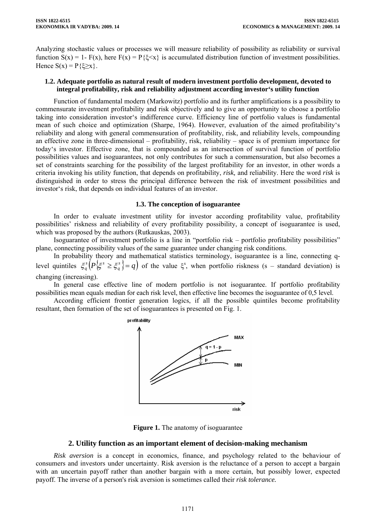Analyzing stochastic values or processes we will measure reliability of possibility as reliability or survival function  $S(x) = 1 - F(x)$ , here  $F(x) = P\{\xi \le x\}$  is accumulated distribution function of investment possibilities. Hence  $S(x) = P\{\xi \ge x\}$ .

## **1.2. Adequate portfolio as natural result of modern investment portfolio development, devoted to integral profitability, risk and reliability adjustment according investor's utility function**

Function of fundamental modern (Markowitz) portfolio and its further amplifications is a possibility to commensurate investment profitability and risk objectively and to give an opportunity to choose a portfolio taking into consideration investor's indifference curve. Efficiency line of portfolio values is fundamental mean of such choice and optimization (Sharpe, 1964). However, evaluation of the aimed profitability's reliability and along with general commensuration of profitability, risk, and reliability levels, compounding an effective zone in three-dimensional – profitability, risk, reliability – space is of premium importance for today's investor. Effective zone, that is compounded as an intersection of survival function of portfolio possibilities values and isoguarantees, not only contributes for such a commensuration, but also becomes a set of constraints searching for the possibility of the largest profitability for an investor, in other words a criteria invoking his utility function, that depends on profitability, *risk,* and reliability. Here the word *risk* is distinguished in order to stress the principal difference between the risk of investment possibilities and investor's risk, that depends on individual features of an investor.

#### **1.3. The conception of isoguarantee**

In order to evaluate investment utility for investor according profitability value, profitability possibilities' riskness and reliability of every profitability possibility, a concept of isoguarantee is used, which was proposed by the authors (Rutkauskas, 2003).

Isoguarantee of investment portfolio is a line in "portfolio risk – portfolio profitability possibilities" plane, connecting possibility values of the same guarantee under changing risk conditions.

In probability theory and mathematical statistics terminology, isoguarantee is a line, connecting qlevel quintiles  $\zeta_q^s(P\{\xi^s \geq \xi_q^s\} = q)$  $\xi_q^s(P) \xi_s^s \ge \xi_q^s = q$  of the value  $\xi_s$ , when portfolio riskness (s – standard deviation) is changing (increasing).

In general case effective line of modern portfolio is not isoguarantee. If portfolio profitability possibilities mean equals median for each risk level, then effective line becomes the isoguarantee of 0,5 level.

According efficient frontier generation logics, if all the possible quintiles become profitability resultant, then formation of the set of isoguarantees is presented on Fig. 1.



**Figure 1.** The anatomy of isoguarantee

## **2. Utility function as an important element of decision-making mechanism**

*Risk aversion* is a concept in economics, finance, and psychology related to the behaviour of consumers and investors under uncertainty. Risk aversion is the reluctance of a person to accept a bargain with an uncertain payoff rather than another bargain with a more certain, but possibly lower, expected payoff. The inverse of a person's risk aversion is sometimes called their *risk tolerance.*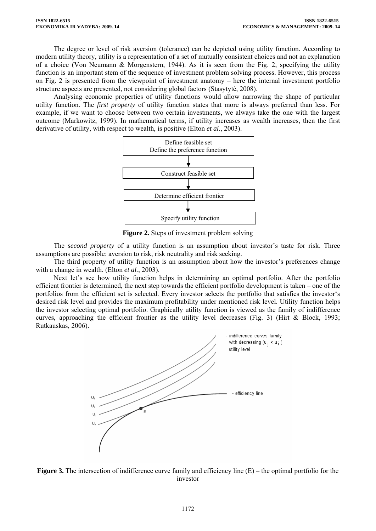The degree or level of risk aversion (tolerance) can be depicted using utility function. According to modern utility theory, utility is a representation of a set of mutually consistent choices and not an explanation of a choice (Von Neumann & Morgenstern, 1944). As it is seen from the Fig. 2, specifying the utility function is an important stem of the sequence of investment problem solving process. However, this process on Fig. 2 is presented from the viewpoint of investment anatomy – here the internal investment portfolio structure aspects are presented, not considering global factors (Stasytytė, 2008).

Analysing economic properties of utility functions would allow narrowing the shape of particular utility function. The *first property* of utility function states that more is always preferred than less. For example, if we want to choose between two certain investments, we always take the one with the largest outcome (Markowitz, 1999). In mathematical terms, if utility increases as wealth increases, then the first derivative of utility, with respect to wealth, is positive (Elton *et al.*, 2003).



**Figure 2.** Steps of investment problem solving

The *second property* of a utility function is an assumption about investor's taste for risk. Three assumptions are possible: aversion to risk, risk neutrality and risk seeking.

The third property of utility function is an assumption about how the investor's preferences change with a change in wealth. (Elton *et al.*, 2003).

Next let's see how utility function helps in determining an optimal portfolio. After the portfolio efficient frontier is determined, the next step towards the efficient portfolio development is taken – one of the portfolios from the efficient set is selected. Every investor selects the portfolio that satisfies the investor's desired risk level and provides the maximum profitability under mentioned risk level. Utility function helps the investor selecting optimal portfolio. Graphically utility function is viewed as the family of indifference curves, approaching the efficient frontier as the utility level decreases (Fig. 3) (Hirt & Block, 1993; Rutkauskas, 2006).



**Figure 3.** The intersection of indifference curve family and efficiency line (E) – the optimal portfolio for the investor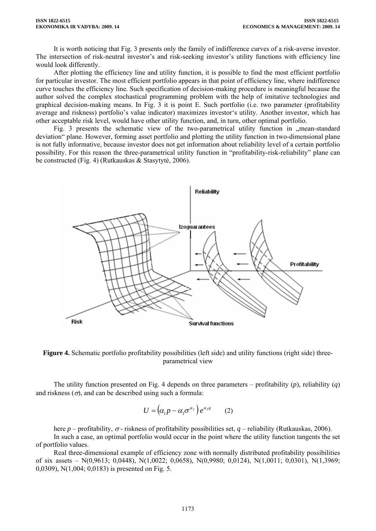It is worth noticing that Fig. 3 presents only the family of indifference curves of a risk-averse investor. The intersection of risk-neutral investor's and risk-seeking investor's utility functions with efficiency line would look differently.

After plotting the efficiency line and utility function, it is possible to find the most efficient portfolio for particular investor. The most efficient portfolio appears in that point of efficiency line, where indifference curve touches the efficiency line. Such specification of decision-making procedure is meaningful because the author solved the complex stochastical programming problem with the help of imitative technologies and graphical decision-making means. In Fig. 3 it is point E. Such portfolio (i.e. two parameter (profitability average and riskness) portfolio's value indicator) maximizes investor's utility. Another investor, which has other acceptable risk level, would have other utility function, and, in turn, other optimal portfolio.

Fig. 3 presents the schematic view of the two-parametrical utility function in , mean-standard deviation" plane. However, forming asset portfolio and plotting the utility function in two-dimensional plane is not fully informative, because investor does not get information about reliability level of a certain portfolio possibility. For this reason the three-parametrical utility function in "profitability-risk-reliability" plane can be constructed (Fig. 4) (Rutkauskas & Stasytytė, 2006).



**Figure 4.** Schematic portfolio profitability possibilities (left side) and utility functions (right side) threeparametrical view

The utility function presented on Fig. 4 depends on three parameters – profitability (*p*), reliability (*q*) and riskness ( $\sigma$ ), and can be described using such a formula:

$$
U = \left(\alpha_1 p - \alpha_1 \sigma^{\alpha_2}\right) e^{\alpha_3 q} \qquad (2)
$$

here *p* – profitability, σ *-* riskness of profitability possibilities set, *q* – reliability (Rutkauskas, 2006). In such a case, an optimal portfolio would occur in the point where the utility function tangents the set of portfolio values.

Real three-dimensional example of efficiency zone with normally distributed profitability possibilities of six assets – N(0,9613; 0,0448), N(1,0022; 0,0658), N(0,9980; 0,0124), N(1,0011; 0,0301), N(1,3969; 0,0309), N(1,004; 0,0183) is presented on Fig. 5.